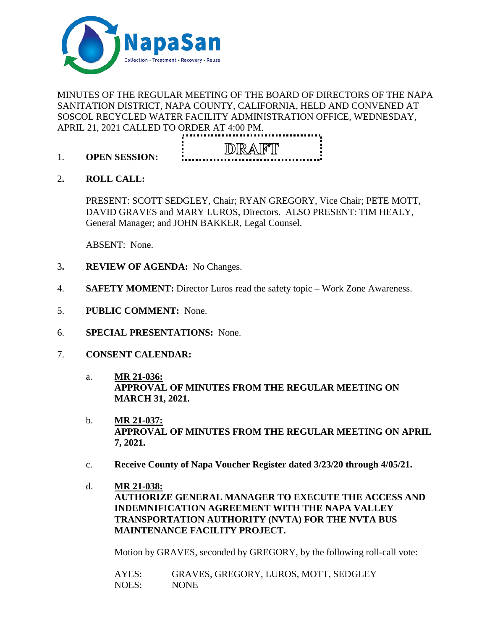

# MINUTES OF THE REGULAR MEETING OF THE BOARD OF DIRECTORS OF THE NAPA SANITATION DISTRICT, NAPA COUNTY, CALIFORNIA, HELD AND CONVENED AT SOSCOL RECYCLED WATER FACILITY ADMINISTRATION OFFICE, WEDNESDAY, APRIL 21, 2021 CALLED TO ORDER AT 4:00 PM.



- 1. **OPEN SESSION:**
- 2**. ROLL CALL:**

PRESENT: SCOTT SEDGLEY, Chair; RYAN GREGORY, Vice Chair; PETE MOTT, DAVID GRAVES and MARY LUROS, Directors. ALSO PRESENT: TIM HEALY, General Manager; and JOHN BAKKER, Legal Counsel.

ABSENT: None.

- 3**. REVIEW OF AGENDA:** No Changes.
- 4. **SAFETY MOMENT:** Director Luros read the safety topic Work Zone Awareness.
- 5. **PUBLIC COMMENT:** None.
- 6. **SPECIAL PRESENTATIONS:** None.
- 7. **CONSENT CALENDAR:**
	- a. **MR 21-036: APPROVAL OF MINUTES FROM THE REGULAR MEETING ON MARCH 31, 2021.**
	- b. **MR 21-037: APPROVAL OF MINUTES FROM THE REGULAR MEETING ON APRIL 7, 2021.**
	- c. **Receive County of Napa Voucher Register dated 3/23/20 through 4/05/21.**
	- d. **MR 21-038: AUTHORIZE GENERAL MANAGER TO EXECUTE THE ACCESS AND INDEMNIFICATION AGREEMENT WITH THE NAPA VALLEY TRANSPORTATION AUTHORITY (NVTA) FOR THE NVTA BUS MAINTENANCE FACILITY PROJECT.**

Motion by GRAVES, seconded by GREGORY, by the following roll-call vote:

AYES: GRAVES, GREGORY, LUROS, MOTT, SEDGLEY NOES: NONE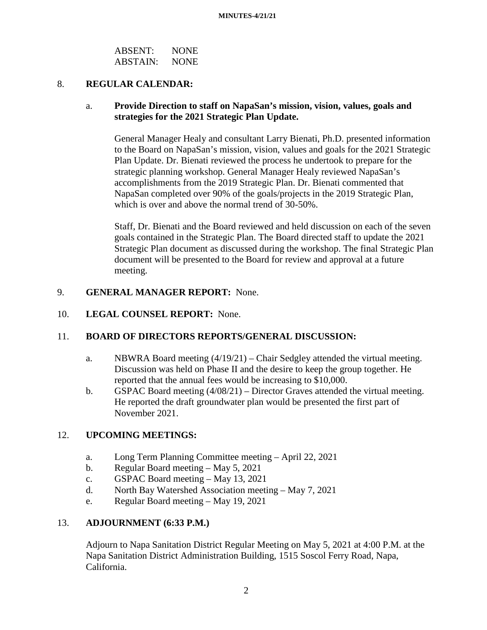| <b>ABSENT:</b>  | <b>NONE</b> |
|-----------------|-------------|
| <b>ABSTAIN:</b> | <b>NONE</b> |

# 8. **REGULAR CALENDAR:**

# a. **Provide Direction to staff on NapaSan's mission, vision, values, goals and strategies for the 2021 Strategic Plan Update.**

General Manager Healy and consultant Larry Bienati, Ph.D. presented information to the Board on NapaSan's mission, vision, values and goals for the 2021 Strategic Plan Update. Dr. Bienati reviewed the process he undertook to prepare for the strategic planning workshop. General Manager Healy reviewed NapaSan's accomplishments from the 2019 Strategic Plan. Dr. Bienati commented that NapaSan completed over 90% of the goals/projects in the 2019 Strategic Plan, which is over and above the normal trend of 30-50%.

Staff, Dr. Bienati and the Board reviewed and held discussion on each of the seven goals contained in the Strategic Plan. The Board directed staff to update the 2021 Strategic Plan document as discussed during the workshop. The final Strategic Plan document will be presented to the Board for review and approval at a future meeting.

### 9. **GENERAL MANAGER REPORT:** None.

## 10. **LEGAL COUNSEL REPORT:** None.

# 11. **BOARD OF DIRECTORS REPORTS/GENERAL DISCUSSION:**

- a. NBWRA Board meeting (4/19/21) Chair Sedgley attended the virtual meeting. Discussion was held on Phase II and the desire to keep the group together. He reported that the annual fees would be increasing to \$10,000.
- b. GSPAC Board meeting (4/08/21) Director Graves attended the virtual meeting. He reported the draft groundwater plan would be presented the first part of November 2021.

# 12. **UPCOMING MEETINGS:**

- a. Long Term Planning Committee meeting April 22, 2021
- b. Regular Board meeting May 5, 2021
- c. GSPAC Board meeting May 13, 2021
- d. North Bay Watershed Association meeting May 7, 2021
- e. Regular Board meeting May 19, 2021

#### 13. **ADJOURNMENT (6:33 P.M.)**

Adjourn to Napa Sanitation District Regular Meeting on May 5, 2021 at 4:00 P.M. at the Napa Sanitation District Administration Building, 1515 Soscol Ferry Road, Napa, California.